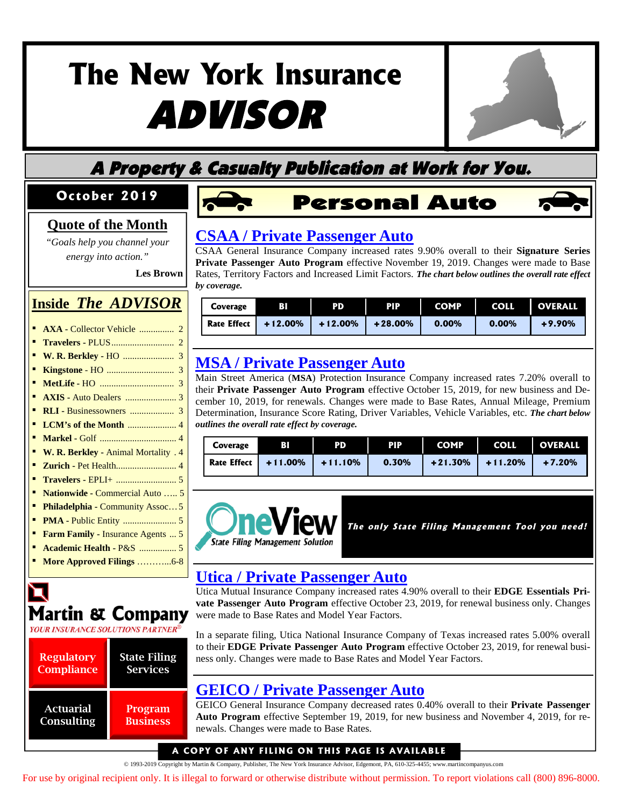# **The New York Insurance** ADVISOR



## A Property & Casualty Publication at Work for You.

#### **October 2019**

#### **Quote of the Month**

*"Goals help you channel your energy into action."*

**Les Brown**

#### **Inside** *The ADVISOR*

- **AXA -** Collector Vehicle ............... 2
- **Travelers -** PLUS........................... 2
- **W. R. Berkley -** HO ...................... 3
- **Kingstone** HO ............................. 3
- **MetLife -** HO ................................ 3
- **AXIS -** Auto Dealers ...................... 3
- **RLI -** Businessowners ................... 3
- **LCM's of the Month** ..................... 4
- **Markel -** Golf ................................. 4
- **W. R. Berkley -** Animal Mortality . 4 ▪ **Zurich -** Pet Health.......................... 4
- **Travelers -** EPLI+ .......................... 5
- **Nationwide -** Commercial Auto ….. 5
- **Philadelphia -** Community Assoc... 5
- **PMA -** Public Entity ....................... 5
- **Farm Family -** Insurance Agents ... 5
- **Academic Health -** P&S ................ 5
- **More Approved Filings** ………...6-8



| <b>Regulatory</b> | <b>State Filing</b> |
|-------------------|---------------------|
| <b>Compliance</b> | <b>Services</b>     |
| <b>Actuarial</b>  | Program             |
| Consulting        | <b>Business</b>     |



### **[CSAA / Private Passenger Auto](http://www.filingsdirect2.com/secure/files/NYIA/2019/October/CSAA PPA PRIVATE PASSENGER AUTOMOBILE - Signature Series rate 11 19 WSUN-132041426.pdf)**

CSAA General Insurance Company increased rates 9.90% overall to their **Signature Series Private Passenger Auto Program** effective November 19, 2019. Changes were made to Base Rates, Territory Factors and Increased Limit Factors. *The chart below outlines the overall rate effect by coverage.*

| Coverage    | вı         | PD         | <b>PIP</b> | <b>COMP</b> | <b>COLL</b> | <b>OVERALL</b> |
|-------------|------------|------------|------------|-------------|-------------|----------------|
| Rate Effect | $+12.00\%$ | $+12.00\%$ | $+28.00%$  | $0.00\%$    | $0.00\%$    | $+9.90%$       |

### **MSA / Private Passenger Auto**

Main Street America (**MSA**) Protection Insurance Company increased rates 7.20% overall to their **Private Passenger Auto Program** effective October 15, 2019, for new business and De[cember 10, 2019, for renewals. Changes were made to Base Rates, Annual Mileage, Premium](http://www.filingsdirect2.com/secure/files/NYIA/2019/October/Main Street America Protection PPA Main Street America Protection Insurance Company - Private P rate rule form 10 19 NGMC-131964479.pdf) Determination, Insurance Score Rating, Driver Variables, Vehicle Variables, etc. *The chart below outlines the overall rate effect by coverage.*

| Coverage | вı                     | PD        | <b>PIP</b> | <b>COMP</b> | <b>COLL</b> | <b>OVERALL</b> |
|----------|------------------------|-----------|------------|-------------|-------------|----------------|
|          | Rate Effect $+11.00\%$ | $+11.10%$ | 0.30%      | $+21.30%$   | $+11.20%$   | $+7.20%$       |



The only State Filing Management Tool you need!

#### **Utica / Private Passenger Auto**

Utica Mutual Insurance Company increased rates 4.90% overall to their **EDGE Essentials Private Passenger Auto Program** effective October 23, 2019, for renewal business only. Changes were made to Base Rates and Model Year Factors.

[In a separate filing, Utica National Insurance Company of Texas increased rates 5.00% overall](http://www.filingsdirect2.com/secure/files/NYIA/2019/October/Utica Mutual PPA NY - Personal EDGE Auto Essentials Program Rate Revision - F rate 10 19 UTCX-131979540.pdf) to their **EDGE Private Passenger Auto Program** effective October 23, 2019, for renewal business only. Changes were made to Base Rates and Model Year Factors.

### **[GEICO / Private Passenger Auto](http://www.filingsdirect2.com/secure/files/NYIA/2019/October/GEICO  PPA 199-Auto Rate Rule rate rule 9 19 GECC-132027231.pdf)**

GEICO General Insurance Company decreased rates 0.40% overall to their **Private Passenger Auto Program** effective September 19, 2019, for new business and November 4, 2019, for renewals. Changes were made to Base Rates.

#### A COPY OF ANY FILING ON THIS PAGE IS AVAILABLE

© 1993-2019 Copyright by Martin & Company, Publisher, The New York Insurance Advisor, Edgemont, PA, 610-325-4455; www.martincompanyus.com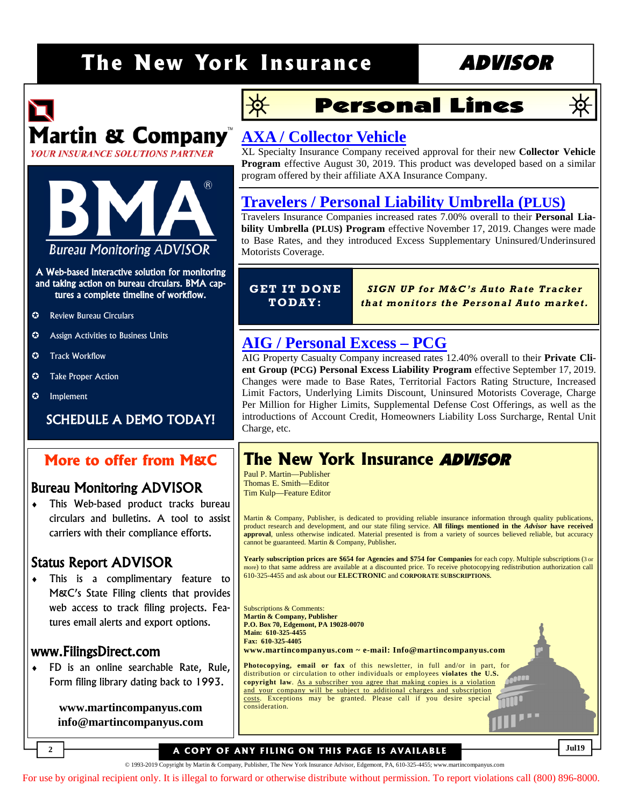## The New York Insurance ADVISOR

# Martin & Company **YOUR INSURANCE SOLUTIONS PARTNER**



#### A Web-based interactive solution for monitoring and taking action on bureau circulars. BMA captures a complete timeline of workflow.

- **C** Review Bureau Circulars
- **C** Assign Activities to Business Units
- $\odot$  Track Workflow
- $\bullet$  Take Proper Action
- $\odot$  Implement

#### SCHEDULE A DEMO TODAY!

#### **More to offer from M&C**

#### Bureau Monitoring ADVISOR

♦ This Web-based product tracks bureau circulars and bulletins. A tool to assist carriers with their compliance efforts.

#### Status Report ADVISOR

♦ This is a complimentary feature to M&C's State Filing clients that provides web access to track filing projects. Features email alerts and export options.

#### www.FilingsDirect.com

**2**

♦ FD is an online searchable Rate, Rule, Form filing library dating back to 1993.

> **www.martincompanyus.com info@martincompanyus.com**

## 浜

## **Personal Lines**

# 涣

### **AXA / Collector Vehicle**

XL Specialty Insurance Company received approval for their new **Collector Vehicle Program** [effective August 30, 2019. This product was developed based on a similar](http://www.filingsdirect2.com/secure/files/NYIA/2019/October/AXA XL PPA Collector Vehicle Initial rate rule form 8 19 XLAM-131883654.pdf) program offered by their affiliate AXA Insurance Company.

#### **[Travelers / Personal Liability Umbrella \(](http://www.filingsdirect2.com/secure/files/NYIA/2019/October/Travelers P Umbrella Excess Personal Liability Umbrella PLUS Program rate rule 11 19 TRVD-131953474.pdf)PLUS)**

Travelers Insurance Companies increased rates 7.00% overall to their **Personal Liability Umbrella (PLUS) Program** effective November 17, 2019. Changes were made to Base Rates, and they introduced Excess Supplementary Uninsured/Underinsured Motorists Coverage.

#### **GET IT DO NE TO DAY:**

*SIGN UP for M &C 's A uto Rate Trac ker th at m onitor s the Per son al A uto m arke t.*

#### **AIG / Personal Excess – PCG**

AIG Property Casualty Company increased rates 12.40% overall to their **Private Client Group (PCG) Personal Excess Liability Program** effective September 17, 2019. Changes were made to Base Rates, Territorial Factors Rating Structure, Increased Limit Factors, Underlying Limits Discount, Uninsured Motorists Coverage, Charge [Per Million for Higher Limits, Supplemental Defense Cost Offerings, as well as the](http://www.filingsdirect2.com/secure/files/NYIA/2019/October/AIG P Umbrella Excess AIG Private Client Group Personal Excess Liability Program rate rule form 9 20 APCG-132000533.pdf) introductions of Account Credit, Homeowners Liability Loss Surcharge, Rental Unit Charge, etc.

## **The New York Insurance** ADVISOR

Paul P. Martin—Publisher Thomas E. Smith—Editor Tim Kulp—Feature Editor

Martin & Company, Publisher, is dedicated to providing reliable insurance information through quality publications, product research and development, and our state filing service. **All filings mentioned in the** *Advisor* **have received approval**, unless otherwise indicated. Material presented is from a variety of sources believed reliable, but accuracy cannot be guaranteed. Martin & Company, Publisher**.**

**Yearly subscription prices are \$654 for Agencies and \$754 for Companies** for each copy. Multiple subscriptions (3 or more) to that same address are available at a discounted price. To receive photocopying redistribution authorization call 610-325-4455 and ask about our **ELECTRONIC** and **CORPORATE SUBSCRIPTIONS.**

Subscriptions & Comments: **Martin & Company, Publisher P.O. Box 70, Edgemont, PA 19028-0070 Main: 610-325-4455 Fax: 610-325-4405 www.martincompanyus.com ~ e-mail: Info@martincompanyus.com Photocopying, email or fax** of this newsletter, in full and/or in part, for distribution or circulation to other individuals or employees **violates the U.S. copyright law**. As a subscriber you agree that making copies is a violation and your company will be subject to additional charges and subscription costs. Exceptions may be granted. Please call if you desire special

#### **A COPY OF ANY FILING ON THIS PAGE IS AVAILABLE**

consideration.

© 1993-2019 Copyright by Martin & Company, Publisher, The New York Insurance Advisor, Edgemont, PA, 610-325-4455; www.martincompanyus.com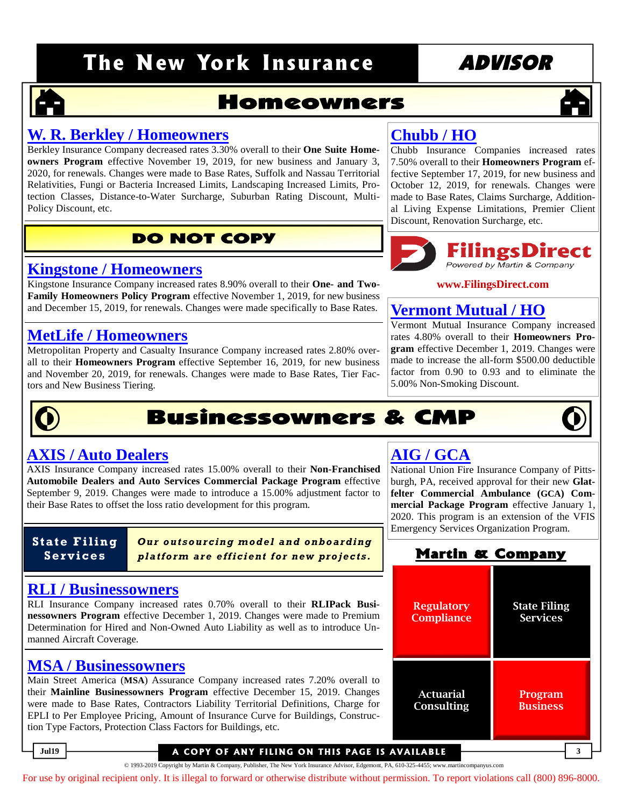## The New York Insurance **ADVISOR**

### **Homeowners**

#### **W. R. Berkley / Homeowners**

Berkley Insurance Company decreased rates 3.30% overall to their **One Suite Homeowners Program** effective November 19, 2019, for new business and January 3, 2020, for renewals. Changes were made to Base Rates, Suffolk and Nassau Territorial [Relativities, Fungi or Bacteria Increased Limits, Landscaping Increased Limits, Pro](http://www.filingsdirect2.com/secure/files/NYIA/2019/October/Berkley HO Homeowner Revisions rate rule form 11 19 BKON-131930068.pdf)tection Classes, Distance-to-Water Surcharge, Suburban Rating Discount, Multi-Policy Discount, etc.

#### **DO NOT COPY**

#### **Kingstone / Homeowners**

Kingstone Insurance Company increased rates 8.90% overall to their **One- and Two-Family Homeowners Policy Program** effective November 1, 2019, for new business [and December 15, 2019, for renewals. Changes were made specifically to Base Rates.](http://www.filingsdirect2.com/secure/files/NYIA/2019/October/Kingstone HO  Homeowners Family rate 11 19 KSIN-132046341.pdf)

#### **MetLife / Homeowners**

[Metropolitan Property and Casualty Insurance Company increased rates 2.80% over](http://www.filingsdirect2.com/secure/files/NYIA/2019/October/MetLife HO Homeowners rate 9 19 METX-131992470.pdf)all to their **Homeowners Program** effective September 16, 2019, for new business and November 20, 2019, for renewals. Changes were made to Base Rates, Tier Factors and New Business Tiering.

## **Chubb / HO**

[Chubb Insurance Companies increased rates](http://www.filingsdirect2.com/secure/files/NYIA/2019/October/Chubb HO Masterpiece rate rule form 9 19 ACEH-131827283.pdf) 7.50% overall to their **Homeowners Program** effective September 17, 2019, for new business and October 12, 2019, for renewals. Changes were made to Base Rates, Claims Surcharge, Additional Living Expense Limitations, Premier Client Discount, Renovation Surcharge, etc.

# **Filings Direct**

#### **www.FilingsDirect.com**

#### **[Vermont Mutual / HO](http://www.filingsdirect2.com/secure/files/NYIA/2019/October/Vermont Mutual HO Homeowners rate rule form 12 19 VERM-131969371.pdf)**

Vermont Mutual Insurance Company increased rates 4.80% overall to their **Homeowners Program** effective December 1, 2019. Changes were made to increase the all-form \$500.00 deductible factor from 0.90 to 0.93 and to eliminate the 5.00% Non-Smoking Discount.

## **Businessowners & CMP**

# **AIG / GCA**

[National Union Fire Insurance Company of Pitts](http://www.filingsdirect2.com/secure/files/NYIA/2019/October/AIG CMP Glatfelter Commercial Ambulance GCA rate rule form 1 20 AGNY-131865453.pdf)burgh, PA, received approval for their new **Glatfelter Commercial Ambulance (GCA) Commercial Package Program** effective January 1, 2020. This program is an extension of the VFIS Emergency Services Organization Program.

#### **Martin & Company**

| <b>Regulatory</b> | <b>State Filing</b> |
|-------------------|---------------------|
| <b>Compliance</b> | <b>Services</b>     |
| <b>Actuarial</b>  | Program             |
| <b>Consulting</b> | <b>Business</b>     |
|                   |                     |

### **AXIS / Auto Dealers**

AXIS Insurance Company increased rates 15.00% overall to their **Non-Franchised Automobile Dealers and Auto Services Commercial Package Program** effective [September 9, 2019. Changes were made to introduce a 15.00% adjustment factor to](http://www.filingsdirect2.com/secure/files/NYIA/2019/October/AXIS CMP Non Franchise Auto Dealer rate rule 9 19 PERR-131864629.pdf) their Base Rates to offset the loss ratio development for this program.

**State Filing Ser vi c es**

*Our o utso ur cing model a nd o nbo ar ding platform are efficient for new projects.* 

#### **RLI / Businessowners**

RLI Insurance Company increased rates 0.70% overall to their **RLIPack Businessowners Program** effective December 1, 2019. Changes were made to Premium [Determination for Hired and Non-Owned Auto Liability as well as to introduce Un](http://www.filingsdirect2.com/secure/files/NYIA/2019/October/RLI I BOP RLIPack Businessowners rate rule 12 19 RLSC-131991766.pdf)manned Aircraft Coverage.

#### **MSA / Businessowners**

Main Street America (**MSA**) Assurance Company increased rates 7.20% overall to their **Mainline Businessowners Program** effective December 15, 2019. Changes [were made to Base Rates, Contractors Liability Territorial Definitions, Charge for](http://www.filingsdirect2.com/secure/files/NYIA/2019/October/MSA BOP Main Street America Assurance Company–Mainline Businessowner rate rule form 12 19 NGMC-131891483.pdf) EPLI to Per Employee Pricing, Amount of Insurance Curve for Buildings, Construction Type Factors, Protection Class Factors for Buildings, etc.

#### Jul19 **3 A COPY OF ANY FILING ON THIS PAGE IS AVAILABLE**

© 1993-2019 Copyright by Martin & Company, Publisher, The New York Insurance Advisor, Edgemont, PA, 610-325-4455; www.martincompanyus.com

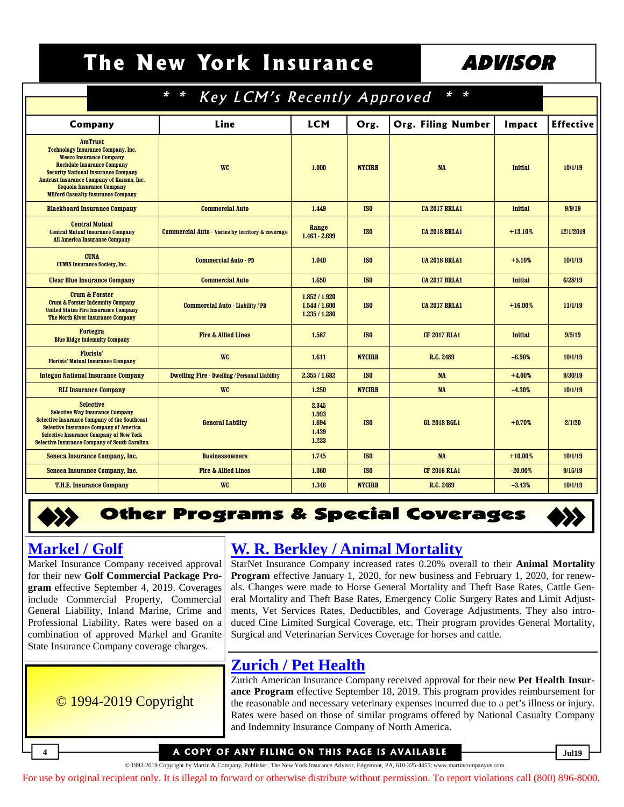## The New York Insurance | ADVISOR

| $* *$<br><b>Key LCM's Recently Approved</b>                                                                                                                                                                                                                                                                    |                                                      |                                                 |                 |                           |                |                  |
|----------------------------------------------------------------------------------------------------------------------------------------------------------------------------------------------------------------------------------------------------------------------------------------------------------------|------------------------------------------------------|-------------------------------------------------|-----------------|---------------------------|----------------|------------------|
|                                                                                                                                                                                                                                                                                                                |                                                      |                                                 |                 |                           |                |                  |
| Company                                                                                                                                                                                                                                                                                                        | Line                                                 | <b>LCM</b>                                      | Org.            | <b>Org. Filing Number</b> | Impact         | <b>Effective</b> |
| <b>AmTrust</b><br><b>Technology Insurance Company, Inc.</b><br><b>Wesco Insurance Company</b><br><b>Rochdale Insurance Company</b><br><b>Security National Insurance Company</b><br>Amtrust Insurance Company of Kansas, Inc.<br><b>Sequoia Insurance Company</b><br><b>Milford Casualty Insurance Company</b> | <b>WC</b>                                            | 1.000                                           | <b>NYCIRB</b>   | <b>NA</b>                 | <b>Initial</b> | 10/1/19          |
| <b>Blackboard Insurance Company</b>                                                                                                                                                                                                                                                                            | <b>Commercial Auto</b>                               | 1.449                                           | IS <sub>0</sub> | <b>CA 2017 BRLA1</b>      | <b>Initial</b> | 9/9/19           |
| <b>Central Mutual</b><br><b>Central Mutual Insurance Company</b><br><b>All America Insurance Company</b>                                                                                                                                                                                                       | Commercial Auto - Varies by territory & coverage     | Range<br>$1.463 - 2.699$                        | IS <sub>0</sub> | <b>CA 2018 BRLA1</b>      | $+13.10%$      | 12/1/2019        |
| <b>CUNA</b><br><b>CUMIS Insurance Society, Inc.</b>                                                                                                                                                                                                                                                            | <b>Commercial Auto - PD</b>                          | 1.040                                           | IS <sub>0</sub> | <b>CA 2018 BRLA1</b>      | $+5.10%$       | 10/1/19          |
| <b>Clear Blue Insurance Company</b>                                                                                                                                                                                                                                                                            | <b>Commercial Auto</b>                               | 1.650                                           | IS <sub>0</sub> | <b>CA 2017 BRLA1</b>      | <b>Initial</b> | 6/28/19          |
| <b>Crum &amp; Forster</b><br><b>Crum &amp; Forster Indemnity Company</b><br><b>United States Fire Insurance Company</b><br>The North River Insurance Company                                                                                                                                                   | Commercial Auto - Liability / PD                     | 1.852 / 1.920<br>1.544 / 1.600<br>1.235 / 1.280 | IS <sub>0</sub> | <b>CA 2017 BRLA1</b>      | $+16.00%$      | 11/1/19          |
| <b>Fortegra</b><br><b>Blue Ridge Indemnity Company</b>                                                                                                                                                                                                                                                         | <b>Fire &amp; Allied Lines</b>                       | 1.587                                           | IS <sub>0</sub> | <b>CF 2017 RLA1</b>       | <b>Initial</b> | 9/5/19           |
| <b>Florists'</b><br><b>Florists' Mutual Insurance Company</b>                                                                                                                                                                                                                                                  | <b>WC</b>                                            | 1.611                                           | <b>NYCIRB</b>   | R.C. 2489                 | $-6.90%$       | 10/1/19          |
| <b>Integon National Insurance Company</b>                                                                                                                                                                                                                                                                      | <b>Dwelling Fire - Dwelling / Personal Liability</b> | 2.355/1.682                                     | IS <sub>0</sub> | <b>NA</b>                 | $+4.00%$       | 9/30/19          |
| <b>RLI Insurance Company</b>                                                                                                                                                                                                                                                                                   | <b>WC</b>                                            | 1.250                                           | <b>NYCIRB</b>   | <b>NA</b>                 | $-4.30%$       | 10/1/19          |
| <b>Selective</b><br><b>Selective Way Insurance Company</b><br><b>Selective Insurance Company of the Southeast</b><br><b>Selective Insurance Company of America</b><br><b>Selective Insurance Company of New York</b><br><b>Selective Insurance Company of South Carolina</b>                                   | <b>General Lability</b>                              | 2.345<br>1.993<br>1.694<br>1.439<br>1.223       | IS <sub>0</sub> | <b>GL 2018 BGL1</b>       | $+0.70%$       | 2/1/20           |
| Seneca Insurance Company, Inc.                                                                                                                                                                                                                                                                                 | <b>Businessowners</b>                                | 1.745                                           | IS <sub>0</sub> | <b>NA</b>                 | $+10.00%$      | 10/1/19          |
| Seneca Insurance Company, Inc.                                                                                                                                                                                                                                                                                 | <b>Fire &amp; Allied Lines</b>                       | 1.360                                           | IS <sub>0</sub> | <b>CF 2016 RLA1</b>       | $-20.00%$      | 9/15/19          |
| <b>T.H.E. Insurance Company</b>                                                                                                                                                                                                                                                                                | <b>WC</b>                                            | 1.346                                           | <b>NYCIRB</b>   | R.C. 2489                 | $-3.43%$       | 10/1/19          |

## **Other Programs & Special Coverages**

#### **Markel / Golf**

Markel Insurance Company received approval for their new **Golf Commercial Package Program** effective September 4, 2019. Coverages include Commercial Property, Commercial [General Liability, Inland Marine, Crime and](http://www.filingsdirect2.com/secure/files/NYIA/2019/October/Markel CMP Golf rate rule 9 19 MRKB-131958565.pdf) Professional Liability. Rates were based on a combination of approved Markel and Granite State Insurance Company coverage charges.

© 1994-2019 Copyright

#### **[W. R. Berkley / Animal Mortality](http://www.filingsdirect2.com/secure/files/NYIA/2019/October/Berkley CIM Animal Mortality Animal Mortality rate rule form 1 20 BEUW-132002832.pdf)**

StarNet Insurance Company increased rates 0.20% overall to their **Animal Mortality Program** effective January 1, 2020, for new business and February 1, 2020, for renewals. Changes were made to Horse General Mortality and Theft Base Rates, Cattle General Mortality and Theft Base Rates, Emergency Colic Surgery Rates and Limit Adjustments, Vet Services Rates, Deductibles, and Coverage Adjustments. They also introduced Cine Limited Surgical Coverage, etc. Their program provides General Mortality, Surgical and Veterinarian Services Coverage for horses and cattle.

### **Zurich / Pet Health**

Zurich American Insurance Company received approval for their new **Pet Health Insurance Program** effective September 18, 2019. This program provides reimbursement for [the reasonable and necessary veterinary expenses incurred due to a pet's illness or injury.](http://www.filingsdirect2.com/secure/files/NYIA/2019/October/Zurich PIM Pet Health Pet Insurance Program -NY Refile rate rule form 9 19 ZURC-132063298.pdf) Rates were based on those of similar programs offered by National Casualty Company and Indemnity Insurance Company of North America.

#### **4** COPY OF ANY FILING ON THIS PAGE IS AVAILABLE  $\frac{1}{\text{min}}$

© 1993-2019 Copyright by Martin & Company, Publisher, The New York Insurance Advisor, Edgemont, PA, 610-325-4455; www.martincompanyus.com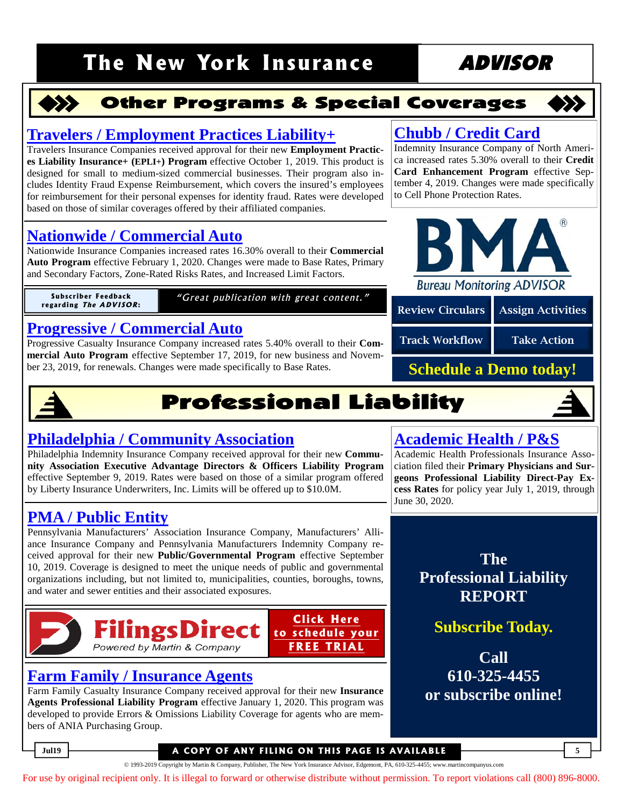## The New York Insurance **ADVISOR**



#### **Other Programs & Special Coverages**



#### **[Travelers / Employment Practices Liability+](http://www.filingsdirect2.com/secure/files/NYIA/2019/October/Travelers CMP Employment Practices Liability rate rule form 10 19 TRVD-132011444.pdf)**

Travelers Insurance Companies received approval for their new **Employment Practices Liability Insurance+ (EPLI+) Program** effective October 1, 2019. This product is designed for small to medium-sized commercial businesses. Their program also includes Identity Fraud Expense Reimbursement, which covers the insured's employees for reimbursement for their personal expenses for identity fraud. Rates were developed based on those of similar coverages offered by their affiliated companies.

#### **[Nationwide / Commercial Auto](http://www.filingsdirect2.com/secure/files/NYIA/2019/October/Nationwide Allied C Auto Commercial Automobile rate 2 20 NWPP-131971705.pdf)**

Nationwide Insurance Companies increased rates 16.30% overall to their **Commercial Auto Program** effective February 1, 2020. Changes were made to Base Rates, Primary and Secondary Factors, Zone-Rated Risks Rates, and Increased Limit Factors.

**r e ga r di n g T h <sup>e</sup> A DV I SOR:**

**Subscriber Feedback** "Great publication with great content."

#### **[Progressive / Commercial Auto](http://www.filingsdirect2.com/secure/files/NYIA/2019/October/Progressive Casualty C Auto Commercial Auto Program rate 9 19 PRGS-132037549.pdf)**

Progressive Casualty Insurance Company increased rates 5.40% overall to their **Commercial Auto Program** effective September 17, 2019, for new business and November 23, 2019, for renewals. Changes were made specifically to Base Rates.



Indemnity Insurance Company of North America increased rates 5.30% overall to their **Credit Card Enhancement Program** effective September 4, 2019. Changes were made specifically

**[Chubb / Credit Card](http://www.filingsdirect2.com/secure/files/NYIA/2019/October/Chubb ACE Other Credit Card Enhancement Program rate 9 19 ACEH-131921081.pdf)**

to Cell Phone Protection Rates.

Review Circulars | Assign Activities

#### Track Workflow Take Action

**Schedule a Demo today!**



## **Professional Liability**

#### **[Philadelphia / Community Association](http://www.filingsdirect2.com/secure/files/NYIA/2019/October/Philadelphia DO Resubmission Community Associations rate rule form 9 19 PHLX-131937336.pdf)**

Philadelphia Indemnity Insurance Company received approval for their new **Community Association Executive Advantage Directors & Officers Liability Program** effective September 9, 2019. Rates were based on those of a similar program offered by Liberty Insurance Underwriters, Inc. Limits will be offered up to \$10.0M.

### **PMA / Public Entity**

[Pennsylvania Manufacturers' Association Insurance Company, Manufacturers' Alli](http://www.filingsdirect2.com/secure/files/NYIA/2019/October/PMA GL Governmental Entity rate rule form 9 19 OREP-131979383.pdf)ance Insurance Company and Pennsylvania Manufacturers Indemnity Company received approval for their new **Public/Governmental Program** effective September 10, 2019. Coverage is designed to meet the unique needs of public and governmental organizations including, but not limited to, municipalities, counties, boroughs, towns, and water and sewer entities and their associated exposures.



#### **[Farm Family / Insurance Agents](http://www.filingsdirect2.com/secure/files/NYIA/2019/October/Farm Family PL Professional Liability rate rule form 1 20 ANPC-132023273.pdf)**

Farm Family Casualty Insurance Company received approval for their new **Insurance Agents Professional Liability Program** effective January 1, 2020. This program was developed to provide Errors & Omissions Liability Coverage for agents who are members of ANIA Purchasing Group.

### **[Academic Health / P&S](http://www.filingsdirect2.com/secure/files/NYIA/2019/October/Academic Health Professionals Med Mal PS 2019 2020 Rates rate 8 19 ADIC-132023920.pdf)**

Academic Health Professionals Insurance Association filed their **Primary Physicians and Surgeons Professional Liability Direct-Pay Excess Rates** for policy year July 1, 2019, through June 30, 2020.

> **The Professional Liability REPORT**

> > **Subscribe Today.**

**Call 610-325-4455 or subscribe online!**

**Juli9 A COPY OF ANY FILING ON THIS PAGE IS AVAILABLE** 

© 1993-2019 Copyright by Martin & Company, Publisher, The New York Insurance Advisor, Edgemont, PA, 610-325-4455; www.martincompanyus.com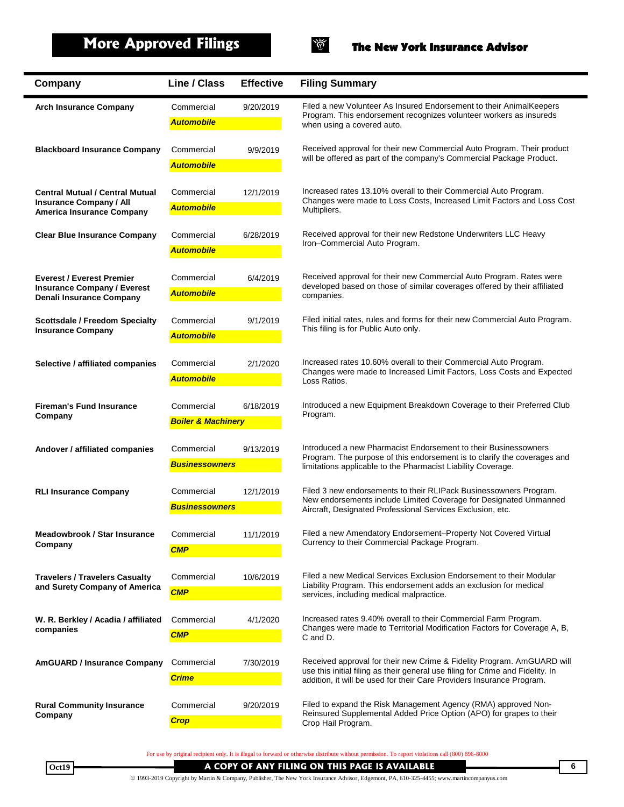

| Company                                                                | Line / Class                                             | <b>Effective</b> | <b>Filing Summary</b>                                                                                                                                   |
|------------------------------------------------------------------------|----------------------------------------------------------|------------------|---------------------------------------------------------------------------------------------------------------------------------------------------------|
| <b>Arch Insurance Company</b>                                          | Commercial                                               | 9/20/2019        | Filed a new Volunteer As Insured Endorsement to their AnimalKeepers                                                                                     |
|                                                                        | <b>Automobile</b>                                        |                  | Program. This endorsement recognizes volunteer workers as insureds<br>when using a covered auto.                                                        |
| <b>Blackboard Insurance Company</b>                                    | Commercial                                               | 9/9/2019         | Received approval for their new Commercial Auto Program. Their product                                                                                  |
|                                                                        | <b>Automobile</b>                                        |                  | will be offered as part of the company's Commercial Package Product.                                                                                    |
| <b>Central Mutual / Central Mutual</b>                                 | Commercial                                               | 12/1/2019        | Increased rates 13.10% overall to their Commercial Auto Program.                                                                                        |
| <b>Insurance Company / All</b><br><b>America Insurance Company</b>     | <b>Automobile</b>                                        |                  | Changes were made to Loss Costs, Increased Limit Factors and Loss Cost<br>Multipliers.                                                                  |
|                                                                        |                                                          |                  |                                                                                                                                                         |
| <b>Clear Blue Insurance Company</b>                                    | Commercial<br><b>Automobile</b>                          | 6/28/2019        | Received approval for their new Redstone Underwriters LLC Heavy<br>Iron-Commercial Auto Program.                                                        |
|                                                                        |                                                          |                  |                                                                                                                                                         |
| <b>Everest / Everest Premier</b><br><b>Insurance Company / Everest</b> | Commercial                                               | 6/4/2019         | Received approval for their new Commercial Auto Program. Rates were<br>developed based on those of similar coverages offered by their affiliated        |
| <b>Denali Insurance Company</b>                                        | <b>Automobile</b>                                        |                  | companies.                                                                                                                                              |
| <b>Scottsdale / Freedom Specialty</b>                                  | Commercial                                               | 9/1/2019         | Filed initial rates, rules and forms for their new Commercial Auto Program.                                                                             |
| <b>Insurance Company</b>                                               | <b>Automobile</b>                                        |                  | This filing is for Public Auto only.                                                                                                                    |
| Selective / affiliated companies                                       | Commercial                                               | 2/1/2020         | Increased rates 10.60% overall to their Commercial Auto Program.                                                                                        |
|                                                                        | <b>Automobile</b>                                        |                  | Changes were made to Increased Limit Factors, Loss Costs and Expected<br>Loss Ratios.                                                                   |
|                                                                        |                                                          |                  |                                                                                                                                                         |
| <b>Fireman's Fund Insurance</b><br>Company                             | Commercial<br>6/18/2019<br><b>Boiler &amp; Machinery</b> |                  | Introduced a new Equipment Breakdown Coverage to their Preferred Club<br>Program.                                                                       |
|                                                                        |                                                          |                  |                                                                                                                                                         |
| Andover / affiliated companies                                         | Commercial                                               | 9/13/2019        | Introduced a new Pharmacist Endorsement to their Businessowners<br>Program. The purpose of this endorsement is to clarify the coverages and             |
|                                                                        | <b>Businessowners</b>                                    |                  | limitations applicable to the Pharmacist Liability Coverage.                                                                                            |
| <b>RLI Insurance Company</b>                                           | Commercial                                               | 12/1/2019        | Filed 3 new endorsements to their RLIPack Businessowners Program.                                                                                       |
|                                                                        | <b>Businessowners</b>                                    |                  | New endorsements include Limited Coverage for Designated Unmanned<br>Aircraft, Designated Professional Services Exclusion, etc.                         |
| <b>Meadowbrook / Star Insurance</b>                                    | Commercial                                               | 11/1/2019        | Filed a new Amendatory Endorsement-Property Not Covered Virtual                                                                                         |
| Company                                                                | <b>CMP</b>                                               |                  | Currency to their Commercial Package Program.                                                                                                           |
|                                                                        |                                                          |                  |                                                                                                                                                         |
| <b>Travelers / Travelers Casualty</b><br>and Surety Company of America | Commercial<br><b>CMP</b>                                 | 10/6/2019        | Filed a new Medical Services Exclusion Endorsement to their Modular<br>Liability Program. This endorsement adds an exclusion for medical                |
|                                                                        |                                                          |                  | services, including medical malpractice.                                                                                                                |
| W. R. Berkley / Acadia / affiliated<br>companies                       | Commercial                                               | 4/1/2020         | Increased rates 9.40% overall to their Commercial Farm Program.<br>Changes were made to Territorial Modification Factors for Coverage A, B,             |
|                                                                        | <b>CMP</b>                                               |                  | C and D.                                                                                                                                                |
| <b>AmGUARD / Insurance Company</b>                                     | Commercial                                               | 7/30/2019        | Received approval for their new Crime & Fidelity Program. AmGUARD will                                                                                  |
|                                                                        | <b>Crime</b>                                             |                  | use this initial filing as their general use filing for Crime and Fidelity. In<br>addition, it will be used for their Care Providers Insurance Program. |
| <b>Rural Community Insurance</b>                                       | Commercial                                               | 9/20/2019        | Filed to expand the Risk Management Agency (RMA) approved Non-                                                                                          |
| Company                                                                | <b>Crop</b>                                              |                  | Reinsured Supplemental Added Price Option (APO) for grapes to their<br>Crop Hail Program.                                                               |
|                                                                        |                                                          |                  |                                                                                                                                                         |

For use by original recipient only. It is illegal to forward or otherwise distribute without permission. To report violations call (800) 896-8000

Oct19 **A COPY OF ANY FILING ON THIS PAGE IS AVAILABLE 6** © 1993-2019 Copyright by Martin & Company, Publisher, The New York Insurance Advisor, Edgemont, PA, 610-325-4455; www.martincompanyus.com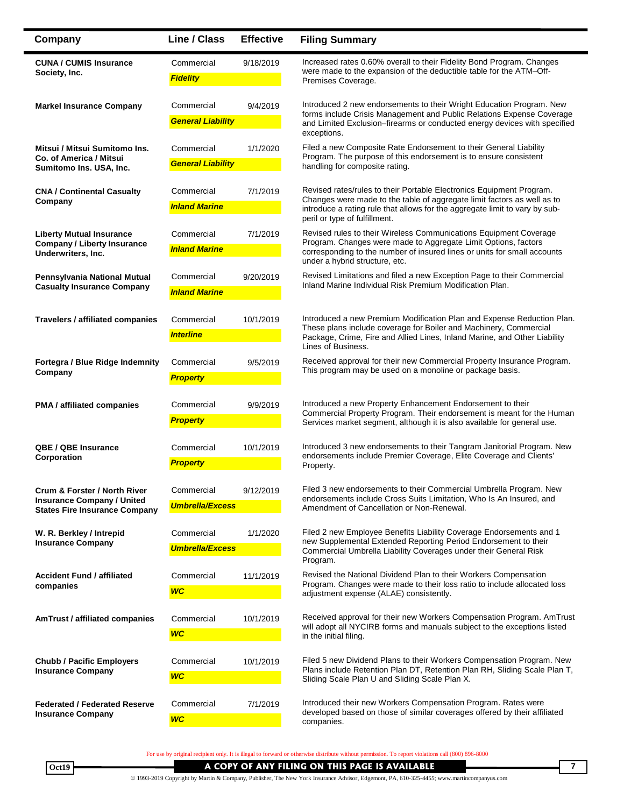| Company                                                                                                   | Line / Class                           | <b>Effective</b> | <b>Filing Summary</b>                                                                                                                                                                                                                                           |
|-----------------------------------------------------------------------------------------------------------|----------------------------------------|------------------|-----------------------------------------------------------------------------------------------------------------------------------------------------------------------------------------------------------------------------------------------------------------|
| <b>CUNA / CUMIS Insurance</b><br>Society, Inc.                                                            | Commercial<br><b>Fidelity</b>          | 9/18/2019        | Increased rates 0.60% overall to their Fidelity Bond Program. Changes<br>were made to the expansion of the deductible table for the ATM-Off-<br>Premises Coverage.                                                                                              |
| <b>Markel Insurance Company</b>                                                                           | Commercial<br><b>General Liability</b> | 9/4/2019         | Introduced 2 new endorsements to their Wright Education Program. New<br>forms include Crisis Management and Public Relations Expense Coverage<br>and Limited Exclusion-firearms or conducted energy devices with specified<br>exceptions.                       |
| Mitsui / Mitsui Sumitomo Ins.<br>Co. of America / Mitsui<br>Sumitomo Ins. USA, Inc.                       | Commercial<br><b>General Liability</b> | 1/1/2020         | Filed a new Composite Rate Endorsement to their General Liability<br>Program. The purpose of this endorsement is to ensure consistent<br>handling for composite rating.                                                                                         |
| <b>CNA / Continental Casualty</b><br>Company                                                              | Commercial<br><b>Inland Marine</b>     | 7/1/2019         | Revised rates/rules to their Portable Electronics Equipment Program.<br>Changes were made to the table of aggregate limit factors as well as to<br>introduce a rating rule that allows for the aggregate limit to vary by sub-<br>peril or type of fulfillment. |
| <b>Liberty Mutual Insurance</b><br><b>Company / Liberty Insurance</b><br>Underwriters, Inc.               | Commercial<br><b>Inland Marine</b>     | 7/1/2019         | Revised rules to their Wireless Communications Equipment Coverage<br>Program. Changes were made to Aggregate Limit Options, factors<br>corresponding to the number of insured lines or units for small accounts<br>under a hybrid structure, etc.               |
| Pennsylvania National Mutual<br><b>Casualty Insurance Company</b>                                         | Commercial<br><b>Inland Marine</b>     | 9/20/2019        | Revised Limitations and filed a new Exception Page to their Commercial<br>Inland Marine Individual Risk Premium Modification Plan.                                                                                                                              |
| Travelers / affiliated companies                                                                          | Commercial<br><b>Interline</b>         | 10/1/2019        | Introduced a new Premium Modification Plan and Expense Reduction Plan.<br>These plans include coverage for Boiler and Machinery, Commercial<br>Package, Crime, Fire and Allied Lines, Inland Marine, and Other Liability<br>Lines of Business.                  |
| Fortegra / Blue Ridge Indemnity<br>Company                                                                | Commercial<br><b>Property</b>          | 9/5/2019         | Received approval for their new Commercial Property Insurance Program.<br>This program may be used on a monoline or package basis.                                                                                                                              |
| <b>PMA</b> / affiliated companies                                                                         | Commercial<br><b>Property</b>          | 9/9/2019         | Introduced a new Property Enhancement Endorsement to their<br>Commercial Property Program. Their endorsement is meant for the Human<br>Services market segment, although it is also available for general use.                                                  |
| <b>QBE / QBE Insurance</b><br>Corporation                                                                 | Commercial<br><b>Property</b>          | 10/1/2019        | Introduced 3 new endorsements to their Tangram Janitorial Program. New<br>endorsements include Premier Coverage, Elite Coverage and Clients'<br>Property.                                                                                                       |
| Crum & Forster / North River<br><b>Insurance Company / United</b><br><b>States Fire Insurance Company</b> | Commercial<br><b>Umbrella/Excess</b>   | 9/12/2019        | Filed 3 new endorsements to their Commercial Umbrella Program. New<br>endorsements include Cross Suits Limitation, Who Is An Insured, and<br>Amendment of Cancellation or Non-Renewal.                                                                          |
| W. R. Berkley / Intrepid<br><b>Insurance Company</b>                                                      | Commercial<br><b>Umbrella/Excess</b>   | 1/1/2020         | Filed 2 new Employee Benefits Liability Coverage Endorsements and 1<br>new Supplemental Extended Reporting Period Endorsement to their<br>Commercial Umbrella Liability Coverages under their General Risk<br>Program.                                          |
| <b>Accident Fund / affiliated</b><br>companies                                                            | Commercial<br><b>WC</b>                | 11/1/2019        | Revised the National Dividend Plan to their Workers Compensation<br>Program. Changes were made to their loss ratio to include allocated loss<br>adjustment expense (ALAE) consistently.                                                                         |
| <b>AmTrust / affiliated companies</b>                                                                     | Commercial<br><b>WC</b>                | 10/1/2019        | Received approval for their new Workers Compensation Program. AmTrust<br>will adopt all NYCIRB forms and manuals subject to the exceptions listed<br>in the initial filing.                                                                                     |
| <b>Chubb / Pacific Employers</b><br><b>Insurance Company</b>                                              | Commercial<br><b>WC</b>                | 10/1/2019        | Filed 5 new Dividend Plans to their Workers Compensation Program. New<br>Plans include Retention Plan DT, Retention Plan RH, Sliding Scale Plan T,<br>Sliding Scale Plan U and Sliding Scale Plan X.                                                            |
| <b>Federated / Federated Reserve</b><br><b>Insurance Company</b>                                          | Commercial<br><b>WC</b>                | 7/1/2019         | Introduced their new Workers Compensation Program. Rates were<br>developed based on those of similar coverages offered by their affiliated<br>companies.                                                                                                        |

For use by original recipient only. It is illegal to forward or otherwise distribute without permission. To report violations call (800) 896-8000

Oct19 **A COPY OF ANY FILING ON THIS PAGE IS AVAILABLE <b>AND THE CONTRACT OF ANY ASSESS** TO THIS PAGE IS AVAILABLE **A COPY OF ANY FILING ON THIS PAGE IS AVAILABLE**

© 1993-2019 Copyright by Martin & Company, Publisher, The New York Insurance Advisor, Edgemont, PA, 610-325-4455; www.martincompanyus.com